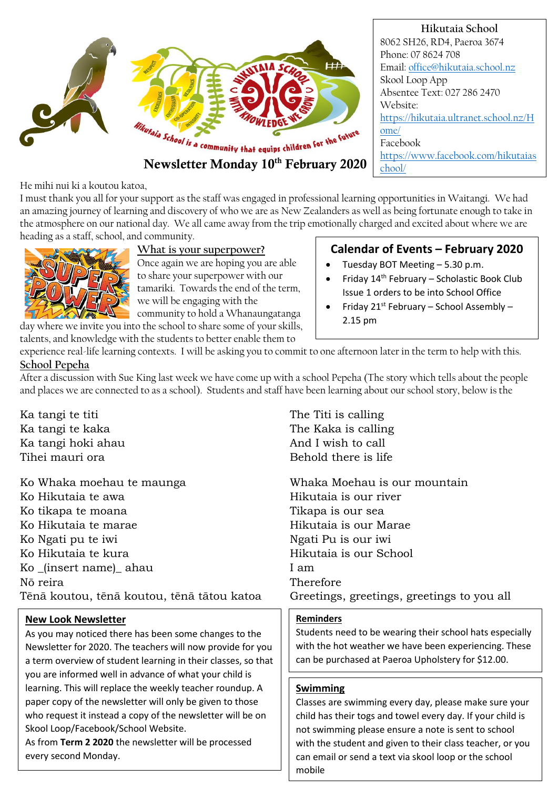

**Hikutaia School** 8062 SH26, RD4, Paeroa 3674 Phone: 07 8624 708 Email: [office@hikutaia.school.nz](mailto:office@hikutaia.school.nz) Skool Loop App Absentee Text: 027 286 2470 Website: [https://hikutaia.ultranet.school.nz/H](https://hikutaia.ultranet.school.nz/Home/) [ome/](https://hikutaia.ultranet.school.nz/Home/) Facebook [https://www.facebook.com/hikutaias](https://www.facebook.com/hikutaiaschool/) [chool/](https://www.facebook.com/hikutaiaschool/)

He mihi nui ki a koutou katoa,

I must thank you all for your support as the staff was engaged in professional learning opportunities in Waitangi. We had an amazing journey of learning and discovery of who we are as New Zealanders as well as being fortunate enough to take in the atmosphere on our national day. We all came away from the trip emotionally charged and excited about where we are heading as a staff, school, and community.



**What is your superpower?**

Once again we are hoping you are able to share your superpower with our tamariki. Towards the end of the term, we will be engaging with the community to hold a Whanaungatanga

day where we invite you into the school to share some of your skills, talents, and knowledge with the students to better enable them to

# **Calendar of Events – February 2020**

- Tuesday BOT Meeting 5.30 p.m.
- Friday 14th February Scholastic Book Club Issue 1 orders to be into School Office
- Friday  $21^{st}$  February School Assembly 2.15 pm

experience real-life learning contexts. I will be asking you to commit to one afternoon later in the term to help with this. **School Pepeha**

After a discussion with Sue King last week we have come up with a school Pepeha (The story which tells about the people and places we are connected to as a school). Students and staff have been learning about our school story, below is the

Ka tangi te titi The Titi is calling Ka tangi hoki ahau  $\blacksquare$  And I wish to call Tihei mauri ora **Behold** there is life

Ko Whaka moehau te maunga whaka Moehau is our mountain Ko Hikutaia te awa **Hikutaia** is our river Ko tikapa te moana Tikapa is our sea Ko Hikutaia te marae **Hikutaia** is our Marae Ko Ngati pu te iwi  $\blacksquare$ Ko Hikutaia te kura historia este distributata is our School Ko \_(insert name)\_ ahau I am Nō reira the contraction of the Therefore Tēnā koutou, tēnā koutou, tēnā tātou katoa Greetings, greetings, greetings to you all

# **New Look Newsletter**

As you may noticed there has been some changes to the Newsletter for 2020. The teachers will now provide for you a term overview of student learning in their classes, so that you are informed well in advance of what your child is learning. This will replace the weekly teacher roundup. A paper copy of the newsletter will only be given to those who request it instead a copy of the newsletter will be on Skool Loop/Facebook/School Website.

As from **Term 2 2020** the newsletter will be processed every second Monday.

Ka tangi te kaka The Kaka is calling

#### **Reminders**

Students need to be wearing their school hats especially with the hot weather we have been experiencing. These can be purchased at Paeroa Upholstery for \$12.00.

#### **Swimming**

Classes are swimming every day, please make sure your child has their togs and towel every day. If your child is not swimming please ensure a note is sent to school with the student and given to their class teacher, or you can email or send a text via skool loop or the school mobile